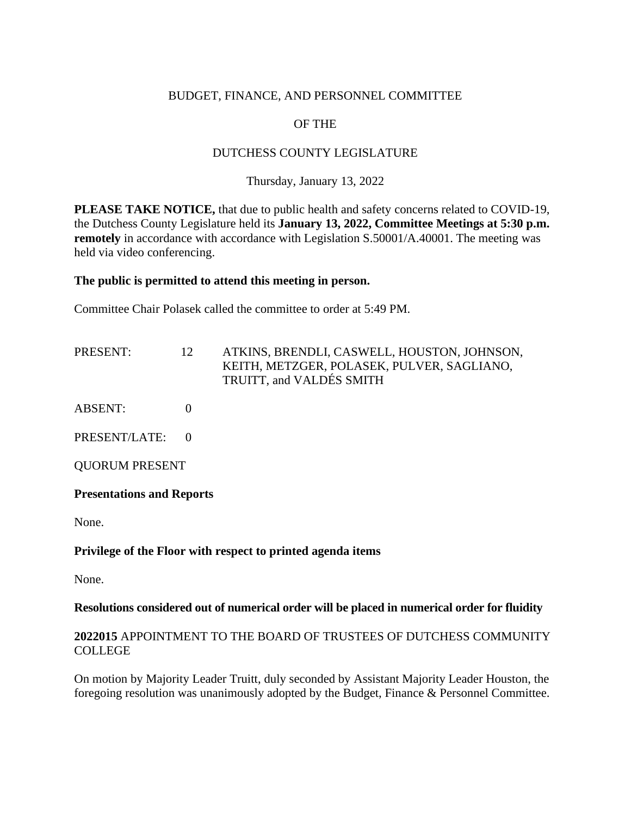## BUDGET, FINANCE, AND PERSONNEL COMMITTEE

# OF THE

# DUTCHESS COUNTY LEGISLATURE

### Thursday, January 13, 2022

**PLEASE TAKE NOTICE,** that due to public health and safety concerns related to COVID-19, the Dutchess County Legislature held its **January 13, 2022, Committee Meetings at 5:30 p.m. remotely** in accordance with accordance with Legislation S.50001/A.40001. The meeting was held via video conferencing.

#### **The public is permitted to attend this meeting in person.**

Committee Chair Polasek called the committee to order at 5:49 PM.

PRESENT: 12 ATKINS, BRENDLI, CASWELL, HOUSTON, JOHNSON, KEITH, METZGER, POLASEK, PULVER, SAGLIANO, TRUITT, and VALDÉS SMITH

ABSENT: 0

PRESENT/LATE: 0

QUORUM PRESENT

#### **Presentations and Reports**

None.

#### **Privilege of the Floor with respect to printed agenda items**

None.

#### **Resolutions considered out of numerical order will be placed in numerical order for fluidity**

#### **2022015** APPOINTMENT TO THE BOARD OF TRUSTEES OF DUTCHESS COMMUNITY COLLEGE

On motion by Majority Leader Truitt, duly seconded by Assistant Majority Leader Houston, the foregoing resolution was unanimously adopted by the Budget, Finance & Personnel Committee.